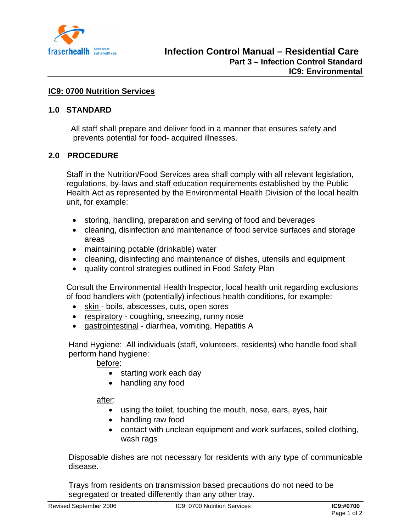

# **IC9: 0700 Nutrition Services**

### **1.0 STANDARD**

 All staff shall prepare and deliver food in a manner that ensures safety and prevents potential for food- acquired illnesses.

### **2.0 PROCEDURE**

Staff in the Nutrition/Food Services area shall comply with all relevant legislation, regulations, by-laws and staff education requirements established by the Public Health Act as represented by the Environmental Health Division of the local health unit, for example:

- storing, handling, preparation and serving of food and beverages
- cleaning, disinfection and maintenance of food service surfaces and storage areas
- maintaining potable (drinkable) water
- cleaning, disinfecting and maintenance of dishes, utensils and equipment
- quality control strategies outlined in Food Safety Plan

 Consult the Environmental Health Inspector, local health unit regarding exclusions of food handlers with (potentially) infectious health conditions, for example:

- skin boils, abscesses, cuts, open sores
- respiratory coughing, sneezing, runny nose
- gastrointestinal diarrhea, vomiting, Hepatitis A

 Hand Hygiene: All individuals (staff, volunteers, residents) who handle food shall perform hand hygiene:

before:

- starting work each day
- handling any food

### after:

- using the toilet, touching the mouth, nose, ears, eyes, hair
- handling raw food
- contact with unclean equipment and work surfaces, soiled clothing, wash rags

 Disposable dishes are not necessary for residents with any type of communicable disease.

 Trays from residents on transmission based precautions do not need to be segregated or treated differently than any other tray.